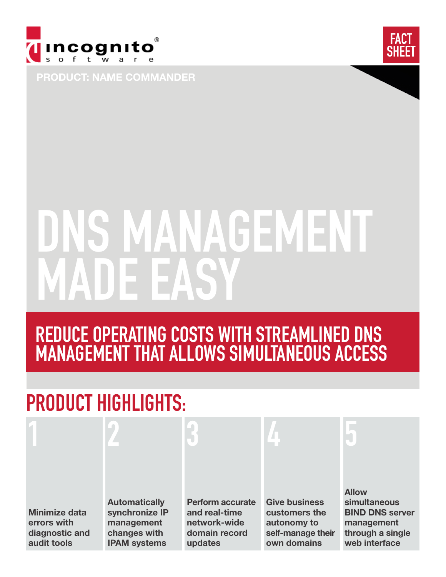



PRODUCT: NAME COMMANDER

# NS MANAGEMENT ADE FAS'

### REDUCE OPERATING COSTS WITH STREAMLINED DNS MANAGEMENT THAT ALLOWS SIMULTANEOUS ACCESS

## PRODUCT HIGHLIGHTS:

| <b>Minimize data</b><br>errors with<br>diagnostic and<br>audit tools | <b>Automatically</b><br>synchronize IP<br>management<br>changes with<br><b>IPAM systems</b> | <b>Perform accurate</b><br>and real-time<br>network-wide<br>domain record<br>updates | <b>Give business</b><br>customers the<br>autonomy to<br>self-manage their<br>own domains | <b>Allow</b><br>simultaneous<br><b>BIND DNS server</b><br>management<br>through a single<br>web interface |
|----------------------------------------------------------------------|---------------------------------------------------------------------------------------------|--------------------------------------------------------------------------------------|------------------------------------------------------------------------------------------|-----------------------------------------------------------------------------------------------------------|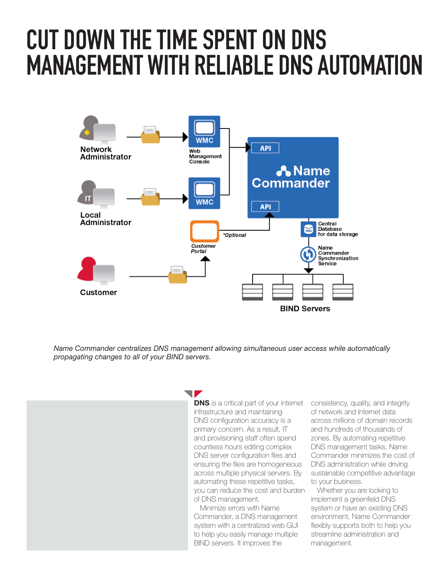### TIAN MANAGEMENT WITH RELIABLE DNS AUTOMATION CUT DOWN THE TIME SPENT ON DNS



*Name Commander centralizes DNS management allowing simultaneous user access while automatically propagating changes to all of your BIND servers.*

> V **DNS** is a critical part of your internet infrastructure and maintaining DNS configuration accuracy is a primary concern. As a result, IT and provisioning staff often spend countless hours editing complex DNS server configuration files and ensuring the files are homogeneous across multiple physical servers. By automating these repetitive tasks, you can reduce the cost and burden of DNS management.

 Minimize errors with Name Commander, a DNS management system with a centralized web GUI to help you easily manage multiple BIND servers. It improves the

consistency, quality, and integrity of network and Internet data across millions of domain records and hundreds of thousands of zones. By automating repetitive DNS management tasks, Name Commander minimizes the cost of DNS administration while driving sustainable competitive advantage to your business.

 Whether you are looking to implement a greenfield DNS system or have an existing DNS environment, Name Commander flexibly supports both to help you streamline administration and management.